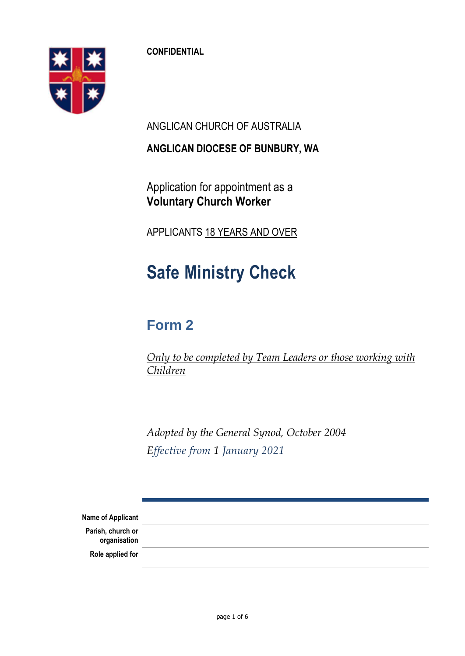**CONFIDENTIAL**

ANGLICAN CHURCH OF AUSTRALIA

**ANGLICAN DIOCESE OF BUNBURY, WA**

Application for appointment as a **Voluntary Church Worker**

APPLICANTS 18 YEARS AND OVER

# **Safe Ministry Check**

# **Form 2**

*Only to be completed by Team Leaders or those working with Children*

*Adopted by the General Synod, October 2004 Effective from 1 January 2021*

**Name of Applicant Parish, church or organisation Role applied for**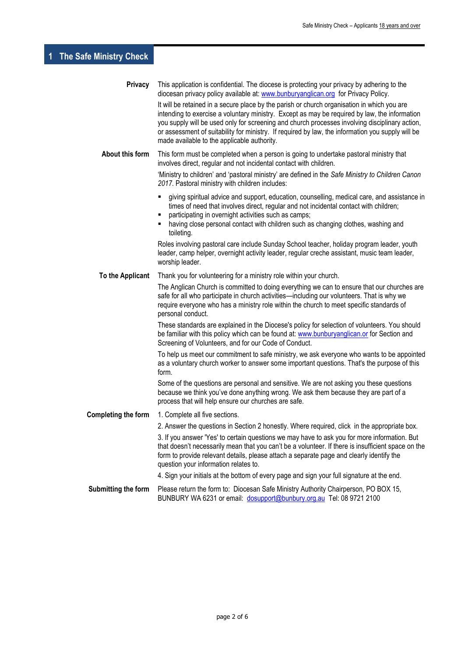## **1 The Safe Ministry Check**

| <b>Privacy</b>             | This application is confidential. The diocese is protecting your privacy by adhering to the<br>diocesan privacy policy available at: www.bunburyanglican.org for Privacy Policy.                                                                                                                                                                                                                                                                   |  |
|----------------------------|----------------------------------------------------------------------------------------------------------------------------------------------------------------------------------------------------------------------------------------------------------------------------------------------------------------------------------------------------------------------------------------------------------------------------------------------------|--|
|                            | It will be retained in a secure place by the parish or church organisation in which you are<br>intending to exercise a voluntary ministry. Except as may be required by law, the information<br>you supply will be used only for screening and church processes involving disciplinary action,<br>or assessment of suitability for ministry. If required by law, the information you supply will be<br>made available to the applicable authority. |  |
| About this form            | This form must be completed when a person is going to undertake pastoral ministry that<br>involves direct, regular and not incidental contact with children.                                                                                                                                                                                                                                                                                       |  |
|                            | 'Ministry to children' and 'pastoral ministry' are defined in the Safe Ministry to Children Canon<br>2017. Pastoral ministry with children includes:                                                                                                                                                                                                                                                                                               |  |
|                            | giving spiritual advice and support, education, counselling, medical care, and assistance in<br>٠<br>times of need that involves direct, regular and not incidental contact with children;<br>participating in overnight activities such as camps;<br>having close personal contact with children such as changing clothes, washing and<br>toileting.                                                                                              |  |
|                            | Roles involving pastoral care include Sunday School teacher, holiday program leader, youth<br>leader, camp helper, overnight activity leader, regular creche assistant, music team leader,<br>worship leader.                                                                                                                                                                                                                                      |  |
| To the Applicant           | Thank you for volunteering for a ministry role within your church.                                                                                                                                                                                                                                                                                                                                                                                 |  |
|                            | The Anglican Church is committed to doing everything we can to ensure that our churches are<br>safe for all who participate in church activities-including our volunteers. That is why we<br>require everyone who has a ministry role within the church to meet specific standards of<br>personal conduct.                                                                                                                                         |  |
|                            | These standards are explained in the Diocese's policy for selection of volunteers. You should<br>be familiar with this policy which can be found at: www.bunburyanglican.or for Section and<br>Screening of Volunteers, and for our Code of Conduct.                                                                                                                                                                                               |  |
|                            | To help us meet our commitment to safe ministry, we ask everyone who wants to be appointed<br>as a voluntary church worker to answer some important questions. That's the purpose of this<br>form.                                                                                                                                                                                                                                                 |  |
|                            | Some of the questions are personal and sensitive. We are not asking you these questions<br>because we think you've done anything wrong. We ask them because they are part of a<br>process that will help ensure our churches are safe.                                                                                                                                                                                                             |  |
| <b>Completing the form</b> | 1. Complete all five sections.                                                                                                                                                                                                                                                                                                                                                                                                                     |  |
|                            | 2. Answer the questions in Section 2 honestly. Where required, click in the appropriate box.                                                                                                                                                                                                                                                                                                                                                       |  |
|                            | 3. If you answer 'Yes' to certain questions we may have to ask you for more information. But<br>that doesn't necessarily mean that you can't be a volunteer. If there is insufficient space on the<br>form to provide relevant details, please attach a separate page and clearly identify the<br>question your information relates to.                                                                                                            |  |
|                            | 4. Sign your initials at the bottom of every page and sign your full signature at the end.                                                                                                                                                                                                                                                                                                                                                         |  |
| Submitting the form        | Please return the form to: Diocesan Safe Ministry Authority Chairperson, PO BOX 15,<br>BUNBURY WA 6231 or email: dosupport@bunbury.org.au Tel: 08 9721 2100                                                                                                                                                                                                                                                                                        |  |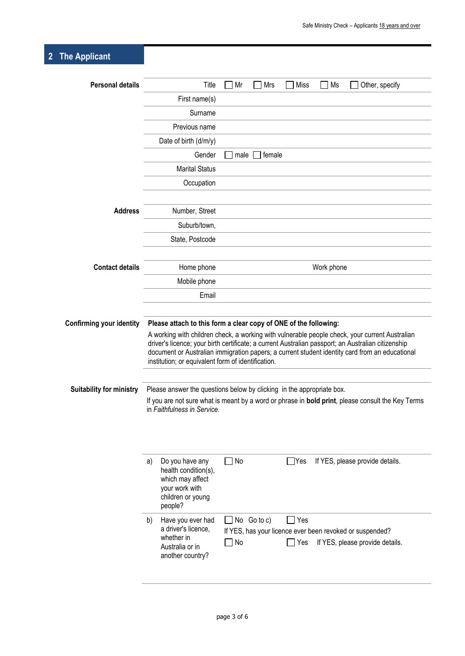### **2 The Applicant**

| <b>Personal details</b>         | Title<br>Other, specify<br>Mr<br>Mrs<br>Miss<br>Ms                                                                                                                                                                                                                                                                                                           |
|---------------------------------|--------------------------------------------------------------------------------------------------------------------------------------------------------------------------------------------------------------------------------------------------------------------------------------------------------------------------------------------------------------|
|                                 | First name(s)                                                                                                                                                                                                                                                                                                                                                |
|                                 | Surname                                                                                                                                                                                                                                                                                                                                                      |
|                                 | Previous name                                                                                                                                                                                                                                                                                                                                                |
|                                 | Date of birth (d/m/y)                                                                                                                                                                                                                                                                                                                                        |
|                                 | Gender<br>female<br>male                                                                                                                                                                                                                                                                                                                                     |
|                                 | <b>Marital Status</b>                                                                                                                                                                                                                                                                                                                                        |
|                                 | Occupation                                                                                                                                                                                                                                                                                                                                                   |
| <b>Address</b>                  | Number, Street                                                                                                                                                                                                                                                                                                                                               |
|                                 |                                                                                                                                                                                                                                                                                                                                                              |
|                                 | Suburb/town,                                                                                                                                                                                                                                                                                                                                                 |
|                                 | State, Postcode                                                                                                                                                                                                                                                                                                                                              |
| <b>Contact details</b>          | Home phone<br>Work phone                                                                                                                                                                                                                                                                                                                                     |
|                                 | Mobile phone                                                                                                                                                                                                                                                                                                                                                 |
|                                 | Email                                                                                                                                                                                                                                                                                                                                                        |
|                                 |                                                                                                                                                                                                                                                                                                                                                              |
| <b>Confirming your identity</b> | Please attach to this form a clear copy of ONE of the following:                                                                                                                                                                                                                                                                                             |
|                                 | A working with children check, a working with vulnerable people check, your current Australian<br>driver's licence; your birth certificate; a current Australian passport; an Australian citizenship<br>document or Australian immigration papers; a current student identity card from an educational<br>institution; or equivalent form of identification. |
| <b>Suitability for ministry</b> | Please answer the questions below by clicking in the appropriate box.<br>If you are not sure what is meant by a word or phrase in <b>bold print</b> , please consult the Key Terms<br>in Faithfulness in Service.                                                                                                                                            |
|                                 | $\Box$ No<br>$\Box$ Yes<br>If YES, please provide details.<br>Do you have any<br>a)<br>health condition(s),<br>which may affect<br>your work with<br>children or young<br>people?                                                                                                                                                                            |
|                                 | Have you ever had<br>No Go to c)<br>Yes<br>b)<br>$\blacksquare$<br>a driver's licence,<br>If YES, has your licence ever been revoked or suspended?<br>whether in<br>$\Box$ No<br>If YES, please provide details.<br>Yes<br>Australia or in                                                                                                                   |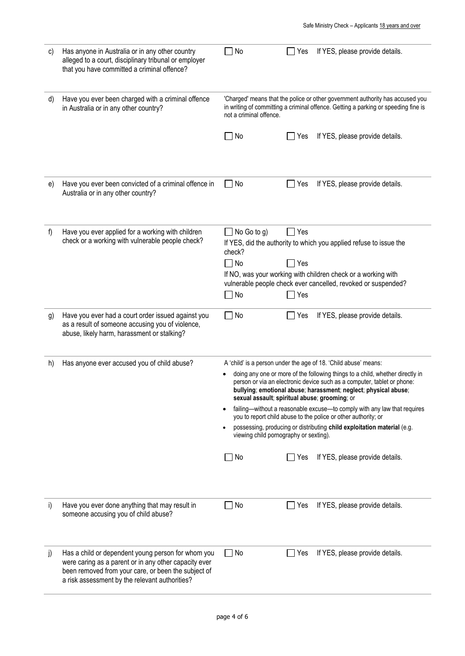| c) | Has anyone in Australia or in any other country<br>alleged to a court, disciplinary tribunal or employer<br>that you have committed a criminal offence?                                                              | No                                                                                                                | If YES, please provide details.<br>Yes                                                                                                                                                                                                                                       |
|----|----------------------------------------------------------------------------------------------------------------------------------------------------------------------------------------------------------------------|-------------------------------------------------------------------------------------------------------------------|------------------------------------------------------------------------------------------------------------------------------------------------------------------------------------------------------------------------------------------------------------------------------|
| d) | Have you ever been charged with a criminal offence<br>in Australia or in any other country?                                                                                                                          | not a criminal offence.                                                                                           | 'Charged' means that the police or other government authority has accused you<br>in writing of committing a criminal offence. Getting a parking or speeding fine is                                                                                                          |
|    |                                                                                                                                                                                                                      | $\Box$ No                                                                                                         | If YES, please provide details.<br>Yes                                                                                                                                                                                                                                       |
| e) | Have you ever been convicted of a criminal offence in<br>Australia or in any other country?                                                                                                                          | $\Box$ No                                                                                                         | $\Box$ Yes<br>If YES, please provide details.                                                                                                                                                                                                                                |
| f  | Have you ever applied for a working with children<br>check or a working with vulnerable people check?                                                                                                                | $\Box$ No Go to g)<br>check?<br>$\Box$ No<br>$\Box$ No                                                            | $\Box$ Yes<br>If YES, did the authority to which you applied refuse to issue the<br>Yes<br>If NO, was your working with children check or a working with<br>vulnerable people check ever cancelled, revoked or suspended?<br>Yes                                             |
| g) | Have you ever had a court order issued against you<br>as a result of someone accusing you of violence,<br>abuse, likely harm, harassment or stalking?                                                                | $\Box$ No                                                                                                         | Yes<br>If YES, please provide details.                                                                                                                                                                                                                                       |
| h) | Has anyone ever accused you of child abuse?                                                                                                                                                                          |                                                                                                                   | A 'child' is a person under the age of 18. 'Child abuse' means:                                                                                                                                                                                                              |
|    |                                                                                                                                                                                                                      |                                                                                                                   | doing any one or more of the following things to a child, whether directly in<br>person or via an electronic device such as a computer, tablet or phone:<br>bullying; emotional abuse; harassment; neglect; physical abuse;<br>sexual assault; spiritual abuse; grooming; or |
|    |                                                                                                                                                                                                                      |                                                                                                                   | failing-without a reasonable excuse-to comply with any law that requires<br>you to report child abuse to the police or other authority; or                                                                                                                                   |
|    |                                                                                                                                                                                                                      | possessing, producing or distributing child exploitation material (e.g.<br>viewing child pornography or sexting). |                                                                                                                                                                                                                                                                              |
|    |                                                                                                                                                                                                                      | $\Box$ No                                                                                                         | If YES, please provide details.<br>Yes                                                                                                                                                                                                                                       |
| i) | Have you ever done anything that may result in<br>someone accusing you of child abuse?                                                                                                                               | No                                                                                                                | If YES, please provide details.<br>Yes                                                                                                                                                                                                                                       |
| j) | Has a child or dependent young person for whom you<br>were caring as a parent or in any other capacity ever<br>been removed from your care, or been the subject of<br>a risk assessment by the relevant authorities? | $\Box$ No                                                                                                         | Yes<br>If YES, please provide details.                                                                                                                                                                                                                                       |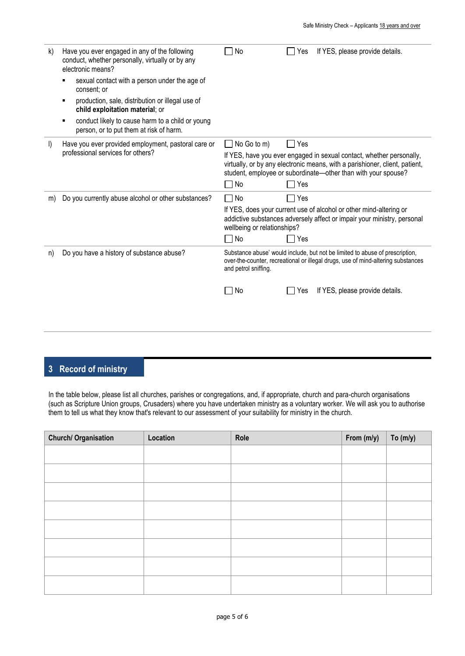| k)      | Have you ever engaged in any of the following<br>conduct, whether personally, virtually or by any<br>electronic means? | No                                                                                                                                                                                                                   | If YES, please provide details.<br>Yes                                                                                                        |  |
|---------|------------------------------------------------------------------------------------------------------------------------|----------------------------------------------------------------------------------------------------------------------------------------------------------------------------------------------------------------------|-----------------------------------------------------------------------------------------------------------------------------------------------|--|
|         | sexual contact with a person under the age of<br>consent: or                                                           |                                                                                                                                                                                                                      |                                                                                                                                               |  |
|         | production, sale, distribution or illegal use of<br>child exploitation material; or                                    |                                                                                                                                                                                                                      |                                                                                                                                               |  |
|         | conduct likely to cause harm to a child or young<br>person, or to put them at risk of harm.                            |                                                                                                                                                                                                                      |                                                                                                                                               |  |
| $\vert$ | Have you ever provided employment, pastoral care or                                                                    | $\vert$ No Go to m)                                                                                                                                                                                                  | $\Box$ Yes                                                                                                                                    |  |
|         | professional services for others?                                                                                      | If YES, have you ever engaged in sexual contact, whether personally,<br>virtually, or by any electronic means, with a parishioner, client, patient,<br>student, employee or subordinate-other than with your spouse? |                                                                                                                                               |  |
|         |                                                                                                                        | No                                                                                                                                                                                                                   | Yes                                                                                                                                           |  |
| m)      | Do you currently abuse alcohol or other substances?                                                                    | No<br><b>Contract</b>                                                                                                                                                                                                | Yes                                                                                                                                           |  |
|         |                                                                                                                        | wellbeing or relationships?                                                                                                                                                                                          | If YES, does your current use of alcohol or other mind-altering or<br>addictive substances adversely affect or impair your ministry, personal |  |
|         |                                                                                                                        | $\Box$ No                                                                                                                                                                                                            | Yes                                                                                                                                           |  |
| n)      | Do you have a history of substance abuse?                                                                              | Substance abuse' would include, but not be limited to abuse of prescription,<br>over-the-counter, recreational or illegal drugs, use of mind-altering substances<br>and petrol sniffing.                             |                                                                                                                                               |  |
|         |                                                                                                                        | No                                                                                                                                                                                                                   | If YES, please provide details.<br>Yes                                                                                                        |  |
|         |                                                                                                                        |                                                                                                                                                                                                                      |                                                                                                                                               |  |

#### **3 Record of ministry**

In the table below, please list all churches, parishes or congregations, and, if appropriate, church and para-church organisations (such as Scripture Union groups, Crusaders) where you have undertaken ministry as a voluntary worker. We will ask you to authorise them to tell us what they know that's relevant to our assessment of your suitability for ministry in the church.

| <b>Church/ Organisation</b> | Location | Role | From (m/y) | To $(m/y)$ |
|-----------------------------|----------|------|------------|------------|
|                             |          |      |            |            |
|                             |          |      |            |            |
|                             |          |      |            |            |
|                             |          |      |            |            |
|                             |          |      |            |            |
|                             |          |      |            |            |
|                             |          |      |            |            |
|                             |          |      |            |            |